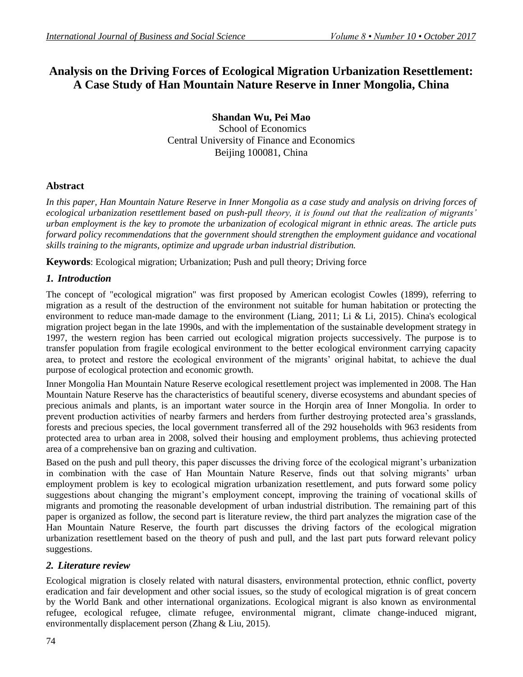# **Analysis on the Driving Forces of Ecological Migration Urbanization Resettlement: A Case Study of Han Mountain Nature Reserve in Inner Mongolia, China**

**Shandan Wu, Pei Mao** School of Economics Central University of Finance and Economics Beijing 100081, China

## **Abstract**

*In this paper, Han Mountain Nature Reserve in Inner Mongolia as a case study and analysis on driving forces of ecological urbanization resettlement based on push-pull theory, it is found out that the realization of migrants' urban employment is the key to promote the urbanization of ecological migrant in ethnic areas. The article puts forward policy recommendations that the government should strengthen the employment guidance and vocational skills training to the migrants, optimize and upgrade urban industrial distribution.*

**Keywords**: Ecological migration; Urbanization; Push and pull theory; Driving force

## *1. Introduction*

The concept of "ecological migration" was first proposed by American ecologist Cowles (1899), referring to migration as a result of the destruction of the environment not suitable for human habitation or protecting the environment to reduce man-made damage to the environment (Liang, 2011; Li & Li, 2015). China's ecological migration project began in the late 1990s, and with the implementation of the sustainable development strategy in 1997, the western region has been carried out ecological migration projects successively. The purpose is to transfer population from fragile ecological environment to the better ecological environment carrying capacity area, to protect and restore the ecological environment of the migrants' original habitat, to achieve the dual purpose of ecological protection and economic growth.

Inner Mongolia Han Mountain Nature Reserve ecological resettlement project was implemented in 2008. The Han Mountain Nature Reserve has the characteristics of beautiful scenery, diverse ecosystems and abundant species of precious animals and plants, is an important water source in the Horqin area of Inner Mongolia. In order to prevent production activities of nearby farmers and herders from further destroying protected area's grasslands, forests and precious species, the local government transferred all of the 292 households with 963 residents from protected area to urban area in 2008, solved their housing and employment problems, thus achieving protected area of a comprehensive ban on grazing and cultivation.

Based on the push and pull theory, this paper discusses the driving force of the ecological migrant's urbanization in combination with the case of Han Mountain Nature Reserve, finds out that solving migrants' urban employment problem is key to ecological migration urbanization resettlement, and puts forward some policy suggestions about changing the migrant's employment concept, improving the training of vocational skills of migrants and promoting the reasonable development of urban industrial distribution. The remaining part of this paper is organized as follow, the second part is literature review, the third part analyzes the migration case of the Han Mountain Nature Reserve, the fourth part discusses the driving factors of the ecological migration urbanization resettlement based on the theory of push and pull, and the last part puts forward relevant policy suggestions.

## *2. Literature review*

Ecological migration is closely related with natural disasters, environmental protection, ethnic conflict, poverty eradication and fair development and other social issues, so the study of ecological migration is of great concern by the World Bank and other international organizations. Ecological migrant is also known as environmental refugee, ecological refugee, climate refugee, environmental migrant, climate change-induced migrant, environmentally displacement person (Zhang & Liu, 2015).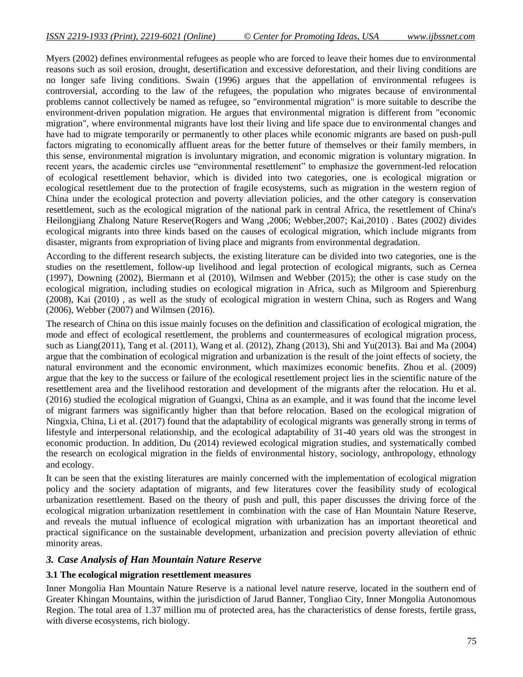Myers (2002) defines environmental refugees as people who are forced to leave their homes due to environmental reasons such as soil erosion, drought, desertification and excessive deforestation, and their living conditions are no longer safe living conditions. Swain (1996) argues that the appellation of environmental refugees is controversial, according to the law of the refugees, the population who migrates because of environmental problems cannot collectively be named as refugee, so "environmental migration" is more suitable to describe the environment-driven population migration. He argues that environmental migration is different from "economic migration", where environmental migrants have lost their living and life space due to environmental changes and have had to migrate temporarily or permanently to other places while economic migrants are based on push-pull factors migrating to economically affluent areas for the better future of themselves or their family members, in this sense, environmental migration is involuntary migration, and economic migration is voluntary migration. In recent years, the academic circles use "environmental resettlement" to emphasize the government-led relocation of ecological resettlement behavior, which is divided into two categories, one is ecological migration or ecological resettlement due to the protection of fragile ecosystems, such as migration in the western region of China under the ecological protection and poverty alleviation policies, and the other category is conservation resettlement, such as the ecological migration of the national park in central Africa, the resettlement of China's Heilongjiang Zhalong Nature Reserve(Rogers and Wang ,2006; Webber,2007; Kai,2010) . Bates (2002) divides ecological migrants into three kinds based on the causes of ecological migration, which include migrants from disaster, migrants from expropriation of living place and migrants from environmental degradation.

According to the different research subjects, the existing literature can be divided into two categories, one is the studies on the resettlement, follow-up livelihood and legal protection of ecological migrants, such as Cernea (1997), Downing (2002), Biermann et al (2010), Wilmsen and Webber (2015); the other is case study on the ecological migration, including studies on ecological migration in Africa, such as Milgroom and Spierenburg (2008), Kai (2010) , as well as the study of ecological migration in western China, such as Rogers and Wang (2006), Webber (2007) and Wilmsen (2016).

The research of China on this issue mainly focuses on the definition and classification of ecological migration, the mode and effect of ecological resettlement, the problems and countermeasures of ecological migration process, such as Liang(2011), Tang et al. (2011), Wang et al. (2012), Zhang (2013), Shi and Yu(2013). Bai and Ma (2004) argue that the combination of ecological migration and urbanization is the result of the joint effects of society, the natural environment and the economic environment, which maximizes economic benefits. Zhou et al. (2009) argue that the key to the success or failure of the ecological resettlement project lies in the scientific nature of the resettlement area and the livelihood restoration and development of the migrants after the relocation. Hu et al. (2016) studied the ecological migration of Guangxi, China as an example, and it was found that the income level of migrant farmers was significantly higher than that before relocation. Based on the ecological migration of Ningxia, China, Li et al. (2017) found that the adaptability of ecological migrants was generally strong in terms of lifestyle and interpersonal relationship, and the ecological adaptability of 31-40 years old was the strongest in economic production. In addition, Du (2014) reviewed ecological migration studies, and systematically combed the research on ecological migration in the fields of environmental history, sociology, anthropology, ethnology and ecology.

It can be seen that the existing literatures are mainly concerned with the implementation of ecological migration policy and the society adaptation of migrants, and few literatures cover the feasibility study of ecological urbanization resettlement. Based on the theory of push and pull, this paper discusses the driving force of the ecological migration urbanization resettlement in combination with the case of Han Mountain Nature Reserve, and reveals the mutual influence of ecological migration with urbanization has an important theoretical and practical significance on the sustainable development, urbanization and precision poverty alleviation of ethnic minority areas.

#### *3. Case Analysis of Han Mountain Nature Reserve*

#### **3.1 The ecological migration resettlement measures**

Inner Mongolia Han Mountain Nature Reserve is a national level nature reserve, located in the southern end of Greater Khingan Mountains, within the jurisdiction of Jarud Banner, Tongliao City, Inner Mongolia Autonomous Region. The total area of 1.37 million mu of protected area, has the characteristics of dense forests, fertile grass, with diverse ecosystems, rich biology.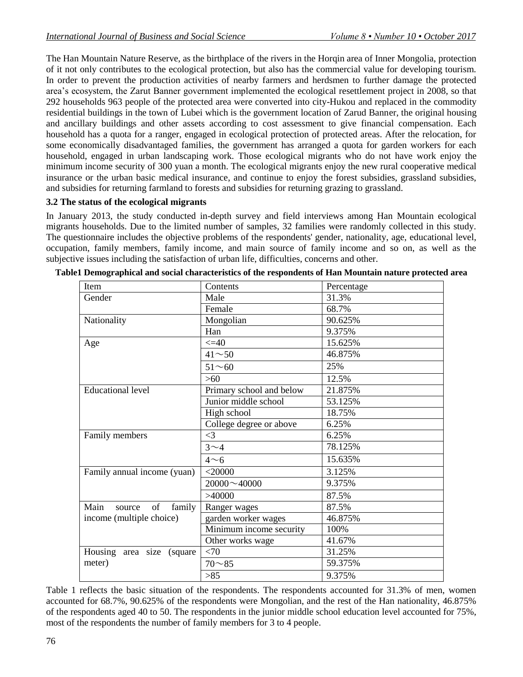The Han Mountain Nature Reserve, as the birthplace of the rivers in the Horqin area of Inner Mongolia, protection of it not only contributes to the ecological protection, but also has the commercial value for developing tourism. In order to prevent the production activities of nearby farmers and herdsmen to further damage the protected area's ecosystem, the Zarut Banner government implemented the ecological resettlement project in 2008, so that 292 households 963 people of the protected area were converted into city-Hukou and replaced in the commodity residential buildings in the town of Lubei which is the government location of Zarud Banner, the original housing and ancillary buildings and other assets according to cost assessment to give financial compensation. Each household has a quota for a ranger, engaged in ecological protection of protected areas. After the relocation, for some economically disadvantaged families, the government has arranged a quota for garden workers for each household, engaged in urban landscaping work. Those ecological migrants who do not have work enjoy the minimum income security of 300 yuan a month. The ecological migrants enjoy the new rural cooperative medical insurance or the urban basic medical insurance, and continue to enjoy the forest subsidies, grassland subsidies, and subsidies for returning farmland to forests and subsidies for returning grazing to grassland.

#### **3.2 The status of the ecological migrants**

In January 2013, the study conducted in-depth survey and field interviews among Han Mountain ecological migrants households. Due to the limited number of samples, 32 families were randomly collected in this study. The questionnaire includes the objective problems of the respondents' gender, nationality, age, educational level, occupation, family members, family income, and main source of family income and so on, as well as the subjective issues including the satisfaction of urban life, difficulties, concerns and other.

| Item                           | Contents                 | Percentage |  |
|--------------------------------|--------------------------|------------|--|
| Gender                         | Male                     | 31.3%      |  |
|                                | Female                   | 68.7%      |  |
| Nationality                    | Mongolian                | 90.625%    |  |
|                                | Han                      | 9.375%     |  |
| Age                            | $\leq$ $\leq$ 40         | 15.625%    |  |
|                                | $41^{\sim}50$            | 46.875%    |  |
|                                | $51 - 60$                | 25%        |  |
|                                | >60                      | 12.5%      |  |
| <b>Educational level</b>       | Primary school and below | 21.875%    |  |
|                                | Junior middle school     | 53.125%    |  |
|                                | High school              | 18.75%     |  |
|                                | College degree or above  | 6.25%      |  |
| Family members                 | $\leq$ 3                 | 6.25%      |  |
|                                | $3\sim4$                 | 78.125%    |  |
|                                | $4\sim 6$                | 15.635%    |  |
| Family annual income (yuan)    | $<$ 20000                | 3.125%     |  |
|                                | $20000 \sim 40000$       | 9.375%     |  |
|                                | >40000                   | 87.5%      |  |
| Main<br>of<br>family<br>source | Ranger wages             | 87.5%      |  |
| income (multiple choice)       | garden worker wages      | 46.875%    |  |
|                                | Minimum income security  | 100%       |  |
|                                | Other works wage         | 41.67%     |  |
| Housing area size<br>(square)  | <70                      | 31.25%     |  |
| meter)                         | $70 - 85$                | 59.375%    |  |
|                                | >85                      | 9.375%     |  |

**Table1 Demographical and social characteristics of the respondents of Han Mountain nature protected area**

Table 1 reflects the basic situation of the respondents. The respondents accounted for 31.3% of men, women accounted for 68.7%, 90.625% of the respondents were Mongolian, and the rest of the Han nationality, 46.875% of the respondents aged 40 to 50. The respondents in the junior middle school education level accounted for 75%, most of the respondents the number of family members for 3 to 4 people.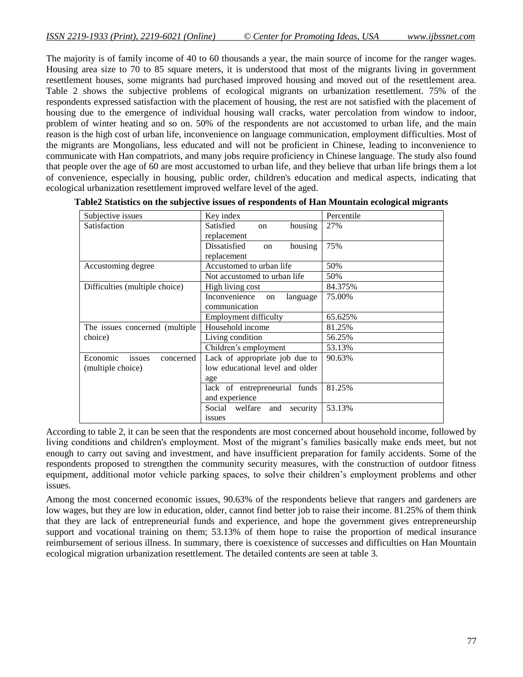The majority is of family income of 40 to 60 thousands a year, the main source of income for the ranger wages. Housing area size to 70 to 85 square meters, it is understood that most of the migrants living in government resettlement houses, some migrants had purchased improved housing and moved out of the resettlement area. Table 2 shows the subjective problems of ecological migrants on urbanization resettlement. 75% of the respondents expressed satisfaction with the placement of housing, the rest are not satisfied with the placement of housing due to the emergence of individual housing wall cracks, water percolation from window to indoor, problem of winter heating and so on. 50% of the respondents are not accustomed to urban life, and the main reason is the high cost of urban life, inconvenience on language communication, employment difficulties. Most of the migrants are Mongolians, less educated and will not be proficient in Chinese, leading to inconvenience to communicate with Han compatriots, and many jobs require proficiency in Chinese language. The study also found that people over the age of 60 are most accustomed to urban life, and they believe that urban life brings them a lot of convenience, especially in housing, public order, children's education and medical aspects, indicating that ecological urbanization resettlement improved welfare level of the aged.

| Subjective issues               | Key index                                       | Percentile |
|---------------------------------|-------------------------------------------------|------------|
| Satisfaction                    | Satisfied<br>housing<br>$_{\rm on}$             | 27%        |
|                                 | replacement                                     |            |
|                                 | <b>Dissatisfied</b><br>housing<br><sub>on</sub> | 75%        |
|                                 | replacement                                     |            |
| Accustoming degree              | Accustomed to urban life                        | 50%        |
|                                 | Not accustomed to urban life.                   | 50%        |
| Difficulties (multiple choice)  | High living cost                                | 84.375%    |
|                                 | Inconvenience<br>language<br>on                 | 75.00%     |
|                                 | communication                                   |            |
|                                 | <b>Employment difficulty</b>                    | 65.625%    |
| The issues concerned (multiple) | Household income                                | 81.25%     |
| choice)                         | Living condition                                | 56.25%     |
|                                 | Children's employment                           | 53.13%     |
| Economic<br>issues<br>concerned | Lack of appropriate job due to                  | 90.63%     |
| (multiple choice)               | low educational level and older                 |            |
|                                 | age                                             |            |
|                                 | lack of entrepreneurial funds                   | 81.25%     |
|                                 | and experience                                  |            |
|                                 | Social welfare<br>security<br>and               | 53.13%     |
|                                 | issues                                          |            |

| Table2 Statistics on the subjective issues of respondents of Han Mountain ecological migrants |  |  |  |
|-----------------------------------------------------------------------------------------------|--|--|--|
|-----------------------------------------------------------------------------------------------|--|--|--|

According to table 2, it can be seen that the respondents are most concerned about household income, followed by living conditions and children's employment. Most of the migrant's families basically make ends meet, but not enough to carry out saving and investment, and have insufficient preparation for family accidents. Some of the respondents proposed to strengthen the community security measures, with the construction of outdoor fitness equipment, additional motor vehicle parking spaces, to solve their children's employment problems and other issues.

Among the most concerned economic issues, 90.63% of the respondents believe that rangers and gardeners are low wages, but they are low in education, older, cannot find better job to raise their income. 81.25% of them think that they are lack of entrepreneurial funds and experience, and hope the government gives entrepreneurship support and vocational training on them; 53.13% of them hope to raise the proportion of medical insurance reimbursement of serious illness. In summary, there is coexistence of successes and difficulties on Han Mountain ecological migration urbanization resettlement. The detailed contents are seen at table 3.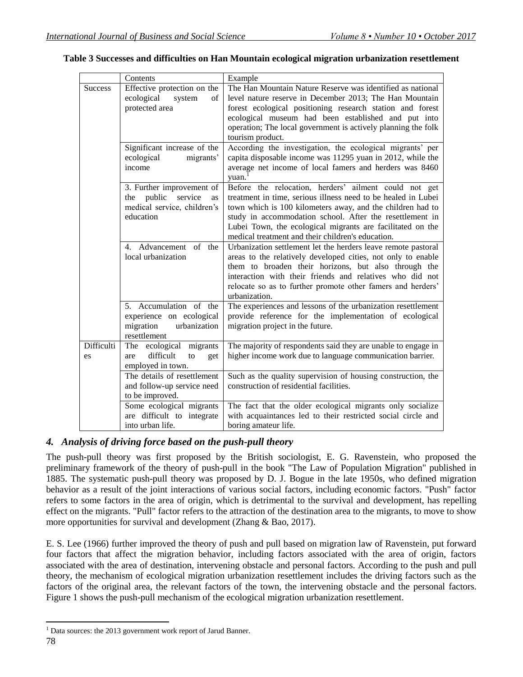|                  | Contents                                                                                                | Example                                                                                                                                                                                                                                                                                                                                                             |
|------------------|---------------------------------------------------------------------------------------------------------|---------------------------------------------------------------------------------------------------------------------------------------------------------------------------------------------------------------------------------------------------------------------------------------------------------------------------------------------------------------------|
| <b>Success</b>   | Effective protection on the<br>ecological<br>system<br>of<br>protected area                             | The Han Mountain Nature Reserve was identified as national<br>level nature reserve in December 2013; The Han Mountain<br>forest ecological positioning research station and forest<br>ecological museum had been established and put into<br>operation; The local government is actively planning the folk<br>tourism product.                                      |
|                  | Significant increase of the<br>ecological<br>migrants'<br>income                                        | According the investigation, the ecological migrants' per<br>capita disposable income was 11295 yuan in 2012, while the<br>average net income of local famers and herders was 8460<br>yuan.                                                                                                                                                                         |
|                  | 3. Further improvement of<br>public<br>service<br>the<br>as<br>medical service, children's<br>education | Before the relocation, herders' ailment could not get<br>treatment in time, serious illness need to be healed in Lubei<br>town which is 100 kilometers away, and the children had to<br>study in accommodation school. After the resettlement in<br>Lubei Town, the ecological migrants are facilitated on the<br>medical treatment and their children's education. |
|                  | 4. Advancement of the<br>local urbanization                                                             | Urbanization settlement let the herders leave remote pastoral<br>areas to the relatively developed cities, not only to enable<br>them to broaden their horizons, but also through the<br>interaction with their friends and relatives who did not<br>relocate so as to further promote other famers and herders'<br>urbanization.                                   |
|                  | 5. Accumulation of the<br>experience on ecological<br>migration<br>urbanization<br>resettlement         | The experiences and lessons of the urbanization resettlement<br>provide reference for the implementation of ecological<br>migration project in the future.                                                                                                                                                                                                          |
| Difficulti<br>es | ecological migrants<br>The<br>difficult<br>are<br>to<br>get<br>employed in town.                        | The majority of respondents said they are unable to engage in<br>higher income work due to language communication barrier.                                                                                                                                                                                                                                          |
|                  | The details of resettlement<br>and follow-up service need<br>to be improved.                            | Such as the quality supervision of housing construction, the<br>construction of residential facilities.                                                                                                                                                                                                                                                             |
|                  | Some ecological migrants<br>are difficult to integrate<br>into urban life.                              | The fact that the older ecological migrants only socialize<br>with acquaintances led to their restricted social circle and<br>boring amateur life.                                                                                                                                                                                                                  |

#### **Table 3 Successes and difficulties on Han Mountain ecological migration urbanization resettlement**

### *4. Analysis of driving force based on the push-pull theory*

The push-pull theory was first proposed by the British sociologist, E. G. Ravenstein, who proposed the preliminary framework of the theory of push-pull in the book "The Law of Population Migration" published in 1885. The systematic push-pull theory was proposed by D. J. Bogue in the late 1950s, who defined migration behavior as a result of the joint interactions of various social factors, including economic factors. "Push" factor refers to some factors in the area of origin, which is detrimental to the survival and development, has repelling effect on the migrants. "Pull" factor refers to the attraction of the destination area to the migrants, to move to show more opportunities for survival and development (Zhang & Bao, 2017).

E. S. Lee (1966) further improved the theory of push and pull based on migration law of Ravenstein, put forward four factors that affect the migration behavior, including factors associated with the area of origin, factors associated with the area of destination, intervening obstacle and personal factors. According to the push and pull theory, the mechanism of ecological migration urbanization resettlement includes the driving factors such as the factors of the original area, the relevant factors of the town, the intervening obstacle and the personal factors. Figure 1 shows the push-pull mechanism of the ecological migration urbanization resettlement.

 $\overline{\phantom{a}}$ 

<sup>&</sup>lt;sup>1</sup> Data sources: the 2013 government work report of Jarud Banner.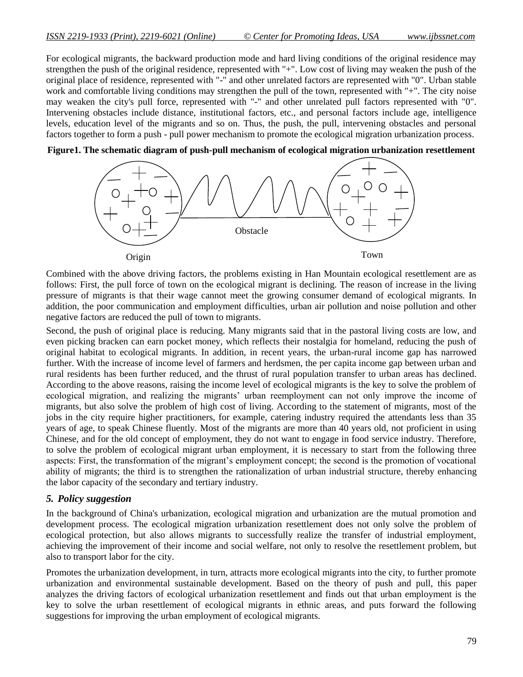For ecological migrants, the backward production mode and hard living conditions of the original residence may strengthen the push of the original residence, represented with "+". Low cost of living may weaken the push of the original place of residence, represented with "-" and other unrelated factors are represented with "0". Urban stable work and comfortable living conditions may strengthen the pull of the town, represented with "+". The city noise may weaken the city's pull force, represented with "-" and other unrelated pull factors represented with "0". Intervening obstacles include distance, institutional factors, etc., and personal factors include age, intelligence levels, education level of the migrants and so on. Thus, the push, the pull, intervening obstacles and personal factors together to form a push - pull power mechanism to promote the ecological migration urbanization process.



**Figure1. The schematic diagram of push-pull mechanism of ecological migration urbanization resettlement**

Combined with the above driving factors, the problems existing in Han Mountain ecological resettlement are as follows: First, the pull force of town on the ecological migrant is declining. The reason of increase in the living pressure of migrants is that their wage cannot meet the growing consumer demand of ecological migrants. In addition, the poor communication and employment difficulties, urban air pollution and noise pollution and other negative factors are reduced the pull of town to migrants.

Second, the push of original place is reducing. Many migrants said that in the pastoral living costs are low, and even picking bracken can earn pocket money, which reflects their nostalgia for homeland, reducing the push of original habitat to ecological migrants. In addition, in recent years, the urban-rural income gap has narrowed further. With the increase of income level of farmers and herdsmen, the per capita income gap between urban and rural residents has been further reduced, and the thrust of rural population transfer to urban areas has declined. According to the above reasons, raising the income level of ecological migrants is the key to solve the problem of ecological migration, and realizing the migrants' urban reemployment can not only improve the income of migrants, but also solve the problem of high cost of living. According to the statement of migrants, most of the jobs in the city require higher practitioners, for example, catering industry required the attendants less than 35 years of age, to speak Chinese fluently. Most of the migrants are more than 40 years old, not proficient in using Chinese, and for the old concept of employment, they do not want to engage in food service industry. Therefore, to solve the problem of ecological migrant urban employment, it is necessary to start from the following three aspects: First, the transformation of the migrant's employment concept; the second is the promotion of vocational ability of migrants; the third is to strengthen the rationalization of urban industrial structure, thereby enhancing the labor capacity of the secondary and tertiary industry.

#### *5. Policy suggestion*

In the background of China's urbanization, ecological migration and urbanization are the mutual promotion and development process. The ecological migration urbanization resettlement does not only solve the problem of ecological protection, but also allows migrants to successfully realize the transfer of industrial employment, achieving the improvement of their income and social welfare, not only to resolve the resettlement problem, but also to transport labor for the city.

Promotes the urbanization development, in turn, attracts more ecological migrants into the city, to further promote urbanization and environmental sustainable development. Based on the theory of push and pull, this paper analyzes the driving factors of ecological urbanization resettlement and finds out that urban employment is the key to solve the urban resettlement of ecological migrants in ethnic areas, and puts forward the following suggestions for improving the urban employment of ecological migrants.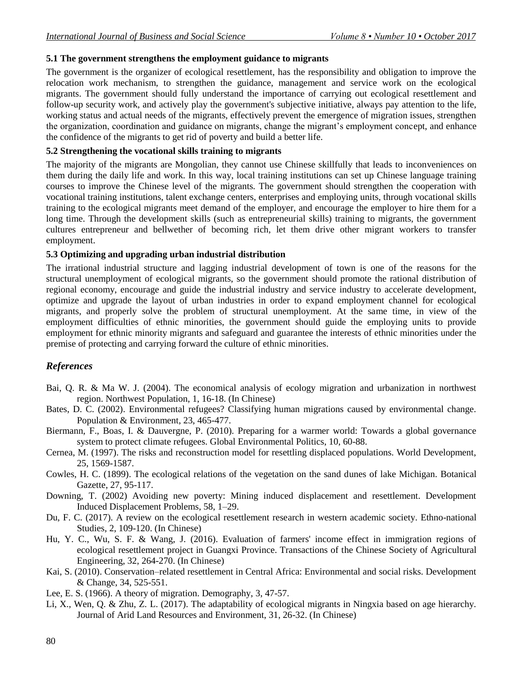### **5.1 The government strengthens the employment guidance to migrants**

The government is the organizer of ecological resettlement, has the responsibility and obligation to improve the relocation work mechanism, to strengthen the guidance, management and service work on the ecological migrants. The government should fully understand the importance of carrying out ecological resettlement and follow-up security work, and actively play the government's subjective initiative, always pay attention to the life, working status and actual needs of the migrants, effectively prevent the emergence of migration issues, strengthen the organization, coordination and guidance on migrants, change the migrant's employment concept, and enhance the confidence of the migrants to get rid of poverty and build a better life.

#### **5.2 Strengthening the vocational skills training to migrants**

The majority of the migrants are Mongolian, they cannot use Chinese skillfully that leads to inconveniences on them during the daily life and work. In this way, local training institutions can set up Chinese language training courses to improve the Chinese level of the migrants. The government should strengthen the cooperation with vocational training institutions, talent exchange centers, enterprises and employing units, through vocational skills training to the ecological migrants meet demand of the employer, and encourage the employer to hire them for a long time. Through the development skills (such as entrepreneurial skills) training to migrants, the government cultures entrepreneur and bellwether of becoming rich, let them drive other migrant workers to transfer employment.

#### **5.3 Optimizing and upgrading urban industrial distribution**

The irrational industrial structure and lagging industrial development of town is one of the reasons for the structural unemployment of ecological migrants, so the government should promote the rational distribution of regional economy, encourage and guide the industrial industry and service industry to accelerate development, optimize and upgrade the layout of urban industries in order to expand employment channel for ecological migrants, and properly solve the problem of structural unemployment. At the same time, in view of the employment difficulties of ethnic minorities, the government should guide the employing units to provide employment for ethnic minority migrants and safeguard and guarantee the interests of ethnic minorities under the premise of protecting and carrying forward the culture of ethnic minorities.

## *References*

- Bai, Q. R. & Ma W. J. (2004). The economical analysis of ecology migration and urbanization in northwest region. Northwest Population, 1, 16-18. (In Chinese)
- Bates, D. C. (2002). Environmental refugees? Classifying human migrations caused by environmental change. Population & Environment, 23, 465-477.
- Biermann, F., Boas, I. & Dauvergne, P. (2010). Preparing for a warmer world: Towards a global governance system to protect climate refugees. Global Environmental Politics, 10, 60-88.
- Cernea, M. (1997). The risks and reconstruction model for resettling displaced populations. World Development, 25, 1569-1587.
- Cowles, H. C. (1899). The ecological relations of the vegetation on the sand dunes of lake Michigan. Botanical Gazette, 27, 95-117.
- Downing, T. (2002) Avoiding new poverty: Mining induced displacement and resettlement. Development Induced Displacement Problems, 58, 1–29.
- Du, F. C. (2017). A review on the ecological resettlement research in western academic society. Ethno-national Studies, 2, 109-120. (In Chinese)
- Hu, Y. C., Wu, S. F. & Wang, J. (2016). Evaluation of farmers' income effect in immigration regions of ecological resettlement project in Guangxi Province. Transactions of the Chinese Society of Agricultural Engineering, 32, 264-270. (In Chinese)
- Kai, S. (2010). Conservation–related resettlement in Central Africa: Environmental and social risks. Development & Change, 34, 525-551.
- Lee, E. S. (1966). A theory of migration. Demography, 3, 47-57.
- Li, X., Wen, Q. & Zhu, Z. L. (2017). The adaptability of ecological migrants in Ningxia based on age hierarchy. Journal of Arid Land Resources and Environment, 31, 26-32. (In Chinese)